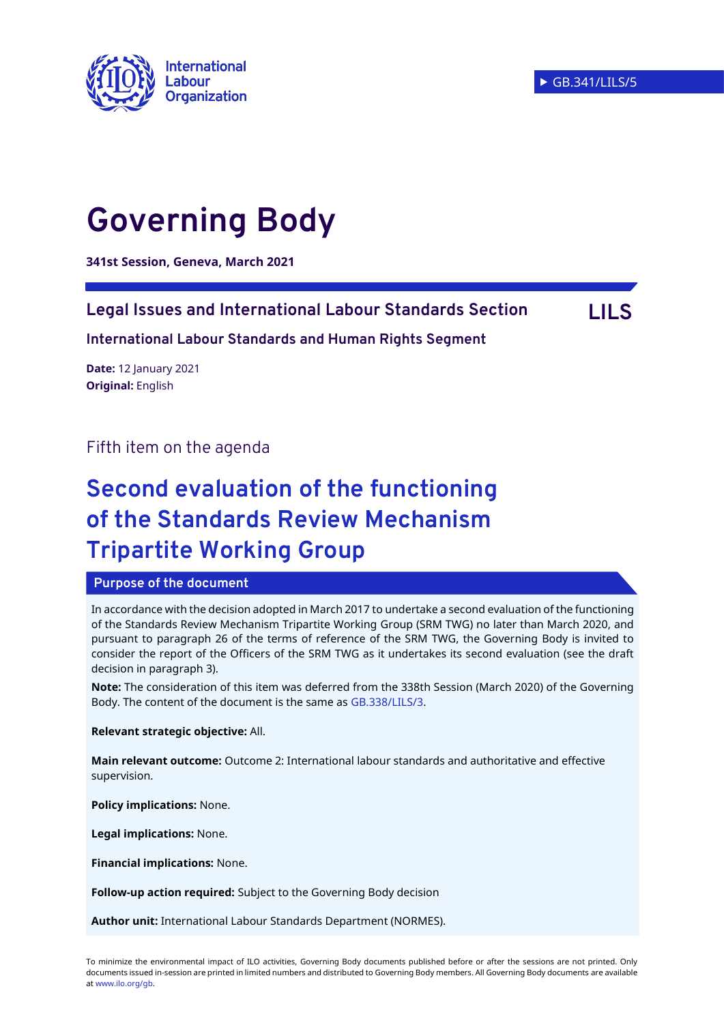

# **Governing Body**

**341st Session, Geneva, March 2021**

## **Legal Issues and International Labour Standards Section LILS**

**International Labour Standards and Human Rights Segment** 

**Date:** 12 January 2021 **Original:** English

Fifth item on the agenda

## **Second evaluation of the functioning of the Standards Review Mechanism Tripartite Working Group**

#### **Purpose of the document**

In accordance with the decision adopted in March 2017 to undertake a second evaluation of the functioning of the Standards Review Mechanism Tripartite Working Group (SRM TWG) no later than March 2020, and pursuant to paragraph 26 of the terms of reference of the SRM TWG, the Governing Body is invited to consider the report of the Officers of the SRM TWG as it undertakes its second evaluation (see the draft decision in paragraph 3).

**Note:** The consideration of this item was deferred from the 338th Session (March 2020) of the Governing Body. The content of the document is the same as [GB.338/LILS/3.](https://www.ilo.org/wcmsp5/groups/public/---ed_norm/---relconf/documents/meetingdocument/wcms_737028.pdf)

**Relevant strategic objective:** All.

**Main relevant outcome:** Outcome 2: International labour standards and authoritative and effective supervision.

**Policy implications:** None.

**Legal implications:** None.

**Financial implications:** None.

**Follow-up action required:** Subject to the Governing Body decision

**Author unit:** International Labour Standards Department (NORMES).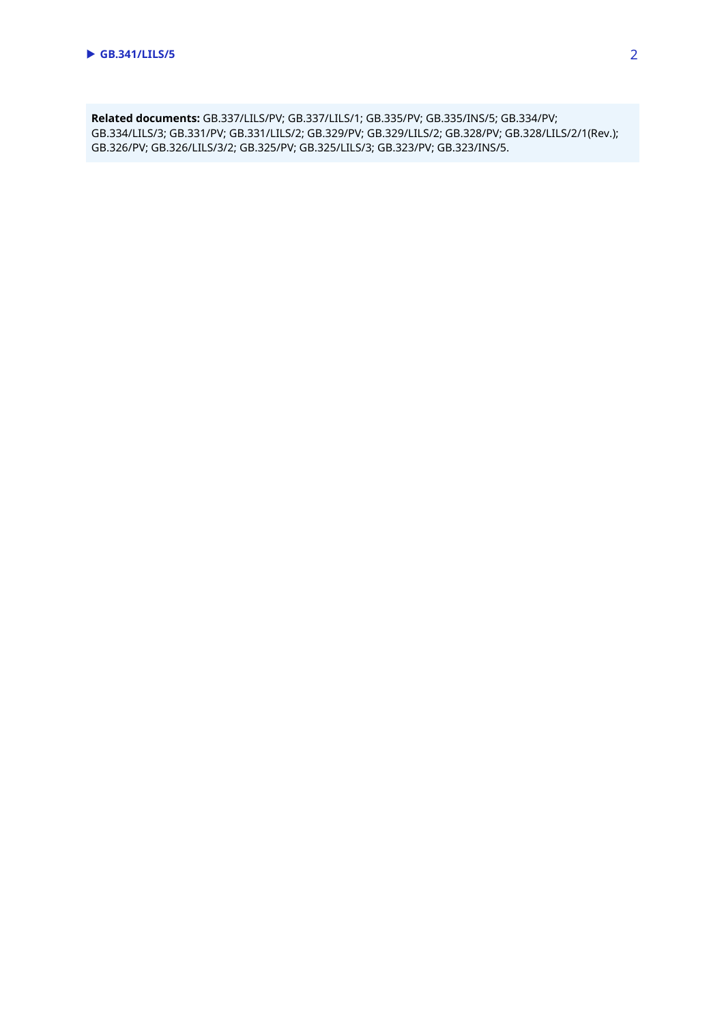**Related documents:** GB.337/LILS/PV; GB.337/LILS/1; GB.335/PV; GB.335/INS/5; GB.334/PV; GB.334/LILS/3; GB.331/PV; GB.331/LILS/2; GB.329/PV; GB.329/LILS/2; GB.328/PV; GB.328/LILS/2/1(Rev.); GB.326/PV; GB.326/LILS/3/2; GB.325/PV; GB.325/LILS/3; GB.323/PV; GB.323/INS/5.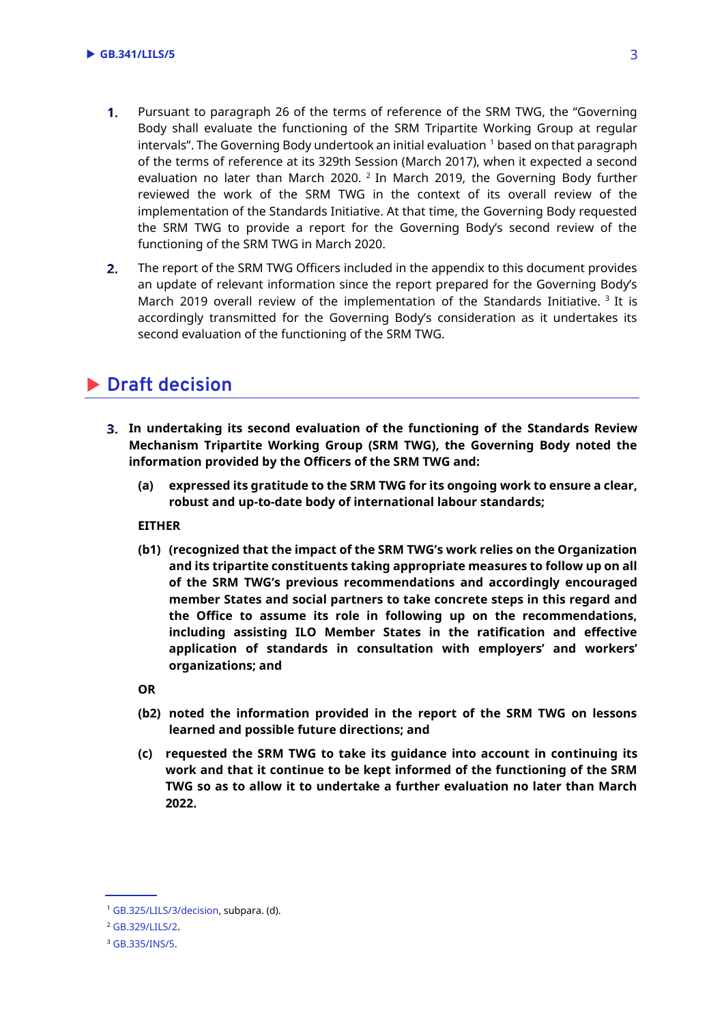- $1<sub>1</sub>$ Pursuant to paragraph 26 of the terms of reference of the SRM TWG, the "Governing Body shall evaluate the functioning of the SRM Tripartite Working Group at regular intervals". The Governing Body undertook an initial evaluation  $1$  based on that paragraph of the terms of reference at its 329th Session (March 2017), when it expected a second evaluation no later than March 2020.  $^2$  In March 2019, the Governing Body further reviewed the work of the SRM TWG in the context of its overall review of the implementation of the Standards Initiative. At that time, the Governing Body requested the SRM TWG to provide a report for the Governing Body's second review of the functioning of the SRM TWG in March 2020.
- The report of the SRM TWG Officers included in the appendix to this document provides  $2.$ an update of relevant information since the report prepared for the Governing Body's March 2019 overall review of the implementation of the Standards Initiative.  $3$  It is accordingly transmitted for the Governing Body's consideration as it undertakes its second evaluation of the functioning of the SRM TWG.

## **Draft decision**

- **In undertaking its second evaluation of the functioning of the Standards Review Mechanism Tripartite Working Group (SRM TWG), the Governing Body noted the information provided by the Officers of the SRM TWG and:**
	- **(a) expressed its gratitude to the SRM TWG for its ongoing work to ensure a clear, robust and up-to-date body of international labour standards;**

**EITHER**

**(b1) (recognized that the impact of the SRM TWG's work relies on the Organization and its tripartite constituents taking appropriate measures to follow up on all of the SRM TWG's previous recommendations and accordingly encouraged member States and social partners to take concrete steps in this regard and the Office to assume its role in following up on the recommendations, including assisting ILO Member States in the ratification and effective application of standards in consultation with employers' and workers' organizations; and**

**OR**

- **(b2) noted the information provided in the report of the SRM TWG on lessons learned and possible future directions; and**
- **(c) requested the SRM TWG to take its guidance into account in continuing its work and that it continue to be kept informed of the functioning of the SRM TWG so as to allow it to undertake a further evaluation no later than March 2022.**

<sup>1</sup> [GB.325/LILS/3/decision,](https://www.ilo.org/gb/decisions/GB325-decision/WCMS_423373/lang--en/index.htm) subpara. (d).

<sup>2</sup> [GB.329/LILS/2.](https://www.ilo.org/wcmsp5/groups/public/---ed_norm/---relconf/documents/meetingdocument/wcms_544697.pdf)

<sup>3</sup> [GB.335/INS/5.](https://www.ilo.org/wcmsp5/groups/public/---ed_norm/---relconf/documents/meetingdocument/wcms_675574.pdf)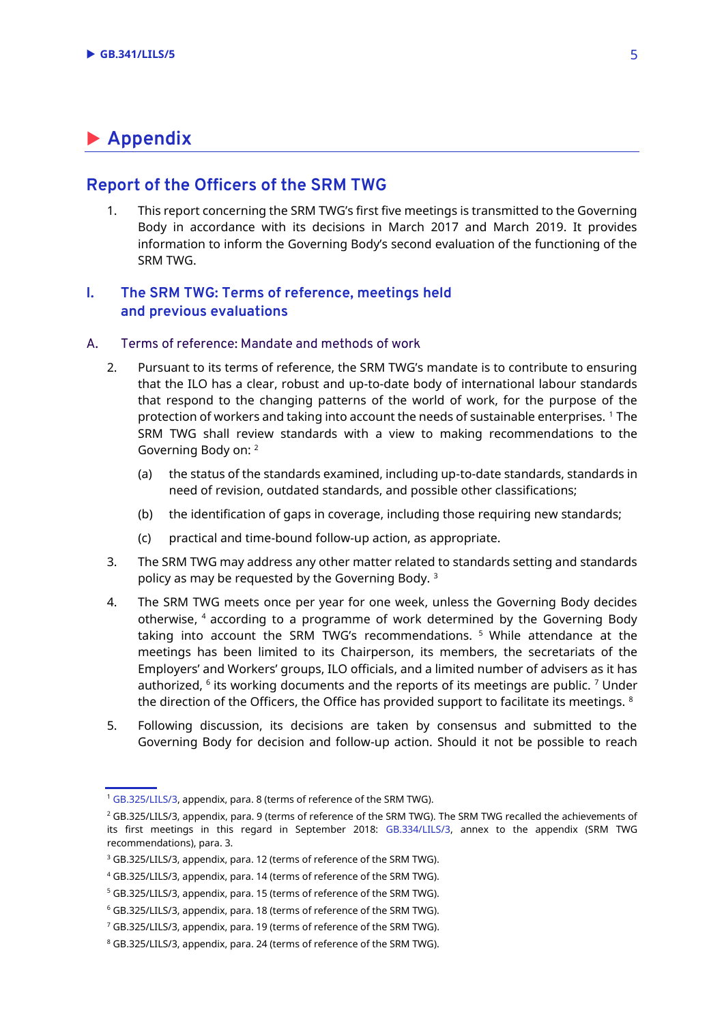## **Appendix**

#### **Report of the Officers of the SRM TWG**

1. This report concerning the SRM TWG's first five meetings is transmitted to the Governing Body in accordance with its decisions in March 2017 and March 2019. It provides information to inform the Governing Body's second evaluation of the functioning of the SRM TWG.

#### **I. The SRM TWG: Terms of reference, meetings held and previous evaluations**

#### A. Terms of reference: Mandate and methods of work

- 2. Pursuant to its terms of reference, the SRM TWG's mandate is to contribute to ensuring that the ILO has a clear, robust and up-to-date body of international labour standards that respond to the changing patterns of the world of work, for the purpose of the protection of workers and taking into account the needs of sustainable enterprises. <sup>1</sup> The SRM TWG shall review standards with a view to making recommendations to the Governing Body on: <sup>2</sup>
	- (a) the status of the standards examined, including up-to-date standards, standards in need of revision, outdated standards, and possible other classifications;
	- (b) the identification of gaps in coverage, including those requiring new standards;
	- (c) practical and time-bound follow-up action, as appropriate.
- 3. The SRM TWG may address any other matter related to standards setting and standards policy as may be requested by the Governing Body. <sup>3</sup>
- 4. The SRM TWG meets once per year for one week, unless the Governing Body decides otherwise, <sup>4</sup> according to a programme of work determined by the Governing Body taking into account the SRM TWG's recommendations. <sup>5</sup> While attendance at the meetings has been limited to its Chairperson, its members, the secretariats of the Employers' and Workers' groups, ILO officials, and a limited number of advisers as it has authorized,  $6$  its working documents and the reports of its meetings are public.  $7$  Under the direction of the Officers, the Office has provided support to facilitate its meetings.  $8$
- 5. Following discussion, its decisions are taken by consensus and submitted to the Governing Body for decision and follow-up action. Should it not be possible to reach

<sup>1</sup> [GB.325/LILS/3,](https://www.ilo.org/wcmsp5/groups/public/---ed_norm/---relconf/documents/meetingdocument/wcms_420260.pdf) appendix, para. 8 (terms of reference of the SRM TWG).

<sup>&</sup>lt;sup>2</sup> GB.325/LILS/3, appendix, para. 9 (terms of reference of the SRM TWG). The SRM TWG recalled the achievements of its first meetings in this regard in September 2018: [GB.334/LILS/3,](https://www.ilo.org/wcmsp5/groups/public/---ed_norm/---relconf/documents/meetingdocument/wcms_648422.pdf) annex to the appendix (SRM TWG recommendations), para. 3.

<sup>&</sup>lt;sup>3</sup> GB.325/LILS/3, appendix, para. 12 (terms of reference of the SRM TWG).

<sup>4</sup> GB.325/LILS/3, appendix, para. 14 (terms of reference of the SRM TWG).

<sup>5</sup> GB.325/LILS/3, appendix, para. 15 (terms of reference of the SRM TWG).

<sup>6</sup> GB.325/LILS/3, appendix, para. 18 (terms of reference of the SRM TWG).

<sup>7</sup> GB.325/LILS/3, appendix, para. 19 (terms of reference of the SRM TWG).

<sup>8</sup> GB.325/LILS/3, appendix, para. 24 (terms of reference of the SRM TWG).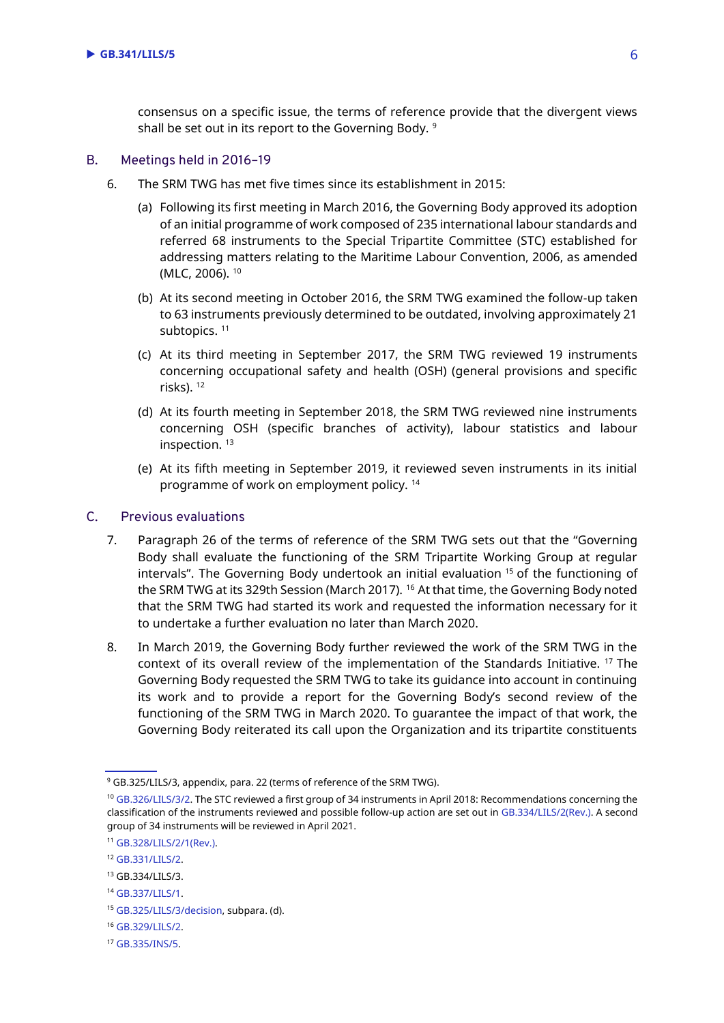consensus on a specific issue, the terms of reference provide that the divergent views shall be set out in its report to the Governing Body. 9

#### B. Meetings held in 2016–19

- 6. The SRM TWG has met five times since its establishment in 2015:
	- (a) Following its first meeting in March 2016, the Governing Body approved its adoption of an initial programme of work composed of 235 international labour standards and referred 68 instruments to the Special Tripartite Committee (STC) established for addressing matters relating to the Maritime Labour Convention, 2006, as amended (MLC, 2006). <sup>10</sup>
	- (b) At its second meeting in October 2016, the SRM TWG examined the follow-up taken to 63 instruments previously determined to be outdated, involving approximately 21 subtopics.<sup>11</sup>
	- (c) At its third meeting in September 2017, the SRM TWG reviewed 19 instruments concerning occupational safety and health (OSH) (general provisions and specific risks). <sup>12</sup>
	- (d) At its fourth meeting in September 2018, the SRM TWG reviewed nine instruments concerning OSH (specific branches of activity), labour statistics and labour inspection.<sup>13</sup>
	- (e) At its fifth meeting in September 2019, it reviewed seven instruments in its initial programme of work on employment policy. <sup>14</sup>

#### C. Previous evaluations

- 7. Paragraph 26 of the terms of reference of the SRM TWG sets out that the "Governing Body shall evaluate the functioning of the SRM Tripartite Working Group at regular intervals". The Governing Body undertook an initial evaluation <sup>15</sup> of the functioning of the SRM TWG at its 329th Session (March 2017). <sup>16</sup> At that time, the Governing Body noted that the SRM TWG had started its work and requested the information necessary for it to undertake a further evaluation no later than March 2020.
- 8. In March 2019, the Governing Body further reviewed the work of the SRM TWG in the context of its overall review of the implementation of the Standards Initiative. <sup>17</sup> The Governing Body requested the SRM TWG to take its guidance into account in continuing its work and to provide a report for the Governing Body's second review of the functioning of the SRM TWG in March 2020. To guarantee the impact of that work, the Governing Body reiterated its call upon the Organization and its tripartite constituents

<sup>11</sup> [GB.328/LILS/2/1\(Rev.\).](https://www.ilo.org/wcmsp5/groups/public/---ed_norm/---relconf/documents/meetingdocument/wcms_534130.pdf)

<sup>9</sup> GB.325/LILS/3, appendix, para. 22 (terms of reference of the SRM TWG).

<sup>&</sup>lt;sup>10</sup> [GB.326/LILS/3/2.](https://www.ilo.org/wcmsp5/groups/public/---ed_norm/---relconf/documents/meetingdocument/wcms_459156.pdf) The STC reviewed a first group of 34 instruments in April 2018: Recommendations concerning the classification of the instruments reviewed and possible follow-up action are set out i[n GB.334/LILS/2\(Rev.\).](https://www.ilo.org/wcmsp5/groups/public/---ed_norm/---relconf/documents/meetingdocument/wcms_645753.pdf) A second group of 34 instruments will be reviewed in April 2021.

<sup>12</sup> [GB.331/LILS/2.](https://www.ilo.org/wcmsp5/groups/public/---ed_norm/---relconf/documents/meetingdocument/wcms_587514.pdf)

<sup>13</sup> GB.334/LILS/3.

<sup>14</sup> [GB.337/LILS/1.](https://www.ilo.org/wcmsp5/groups/public/---ed_norm/---relconf/documents/meetingdocument/wcms_725135.pdf)

<sup>15</sup> [GB.325/LILS/3/decision,](https://www.ilo.org/gb/decisions/GB325-decision/WCMS_423373/lang--en/index.htm) subpara. (d).

<sup>16</sup> [GB.329/LILS/2.](https://www.ilo.org/wcmsp5/groups/public/---ed_norm/---relconf/documents/meetingdocument/wcms_544697.pdf)

<sup>17</sup> [GB.335/INS/5.](https://www.ilo.org/wcmsp5/groups/public/---ed_norm/---relconf/documents/meetingdocument/wcms_675574.pdf#page=5)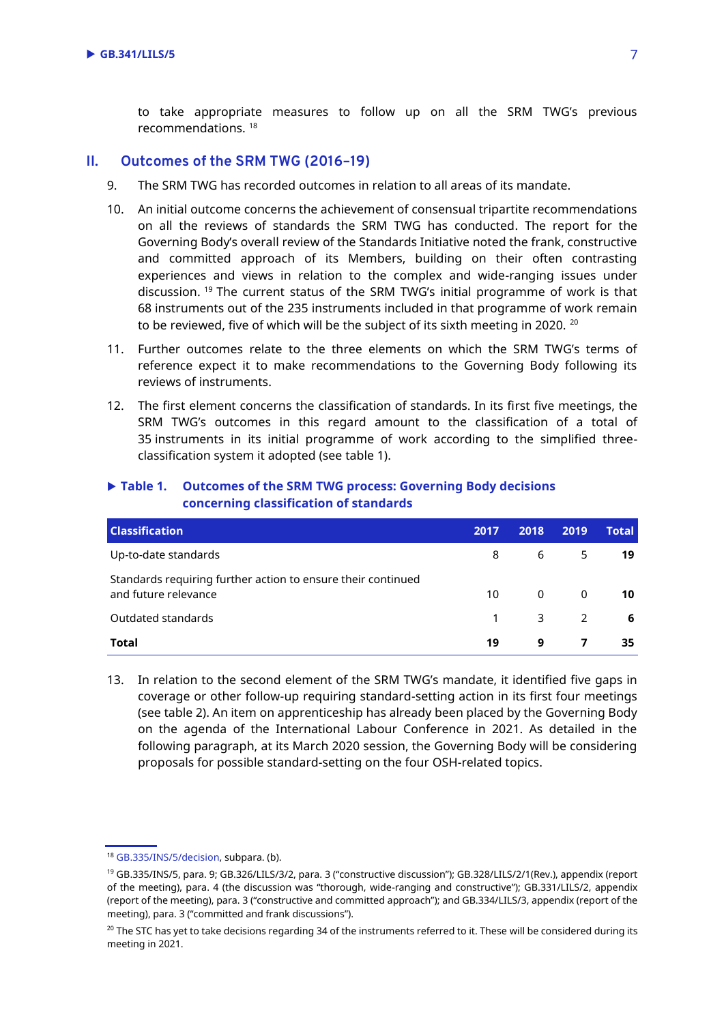to take appropriate measures to follow up on all the SRM TWG's previous recommendations. <sup>18</sup>

#### **II. Outcomes of the SRM TWG (2016–19)**

- 9. The SRM TWG has recorded outcomes in relation to all areas of its mandate.
- 10. An initial outcome concerns the achievement of consensual tripartite recommendations on all the reviews of standards the SRM TWG has conducted. The report for the Governing Body's overall review of the Standards Initiative noted the frank, constructive and committed approach of its Members, building on their often contrasting experiences and views in relation to the complex and wide-ranging issues under discussion. <sup>19</sup> The current status of the SRM TWG's initial programme of work is that 68 instruments out of the 235 instruments included in that programme of work remain to be reviewed, five of which will be the subject of its sixth meeting in 2020. <sup>20</sup>
- 11. Further outcomes relate to the three elements on which the SRM TWG's terms of reference expect it to make recommendations to the Governing Body following its reviews of instruments.
- 12. The first element concerns the classification of standards. In its first five meetings, the SRM TWG's outcomes in this regard amount to the classification of a total of 35 instruments in its initial programme of work according to the simplified threeclassification system it adopted (see table 1).

| <b>Classification</b>                                                                | 2017 | 2018             | 2019                   | <b>Total</b> |
|--------------------------------------------------------------------------------------|------|------------------|------------------------|--------------|
| Up-to-date standards                                                                 | 8    |                  | $6 \qquad \qquad$<br>5 | 19           |
| Standards requiring further action to ensure their continued<br>and future relevance | 10   |                  | $0\qquad 0$            | 10           |
| Outdated standards                                                                   | 1    | $\overline{3}$ 2 |                        | 6            |
| Total                                                                                | 19   | 9                |                        | 35           |

#### **Table 1. Outcomes of the SRM TWG process: Governing Body decisions concerning classification of standards**

13. In relation to the second element of the SRM TWG's mandate, it identified five gaps in coverage or other follow-up requiring standard-setting action in its first four meetings (see table 2). An item on apprenticeship has already been placed by the Governing Body on the agenda of the International Labour Conference in 2021. As detailed in the following paragraph, at its March 2020 session, the Governing Body will be considering proposals for possible standard-setting on the four OSH-related topics.

<sup>18</sup> [GB.335/INS/5/decision,](https://www.ilo.org/gb/GBSessions/GB335/ins/WCMS_681356/lang--en/index.htm) subpara. (b).

<sup>19</sup> GB.335/INS/5, para. 9; GB.326/LILS/3/2, para. 3 ("constructive discussion"); GB.328/LILS/2/1(Rev.), appendix (report of the meeting), para. 4 (the discussion was "thorough, wide-ranging and constructive"); GB.331/LILS/2, appendix (report of the meeting), para. 3 ("constructive and committed approach"); and GB.334/LILS/3, appendix (report of the meeting), para. 3 ("committed and frank discussions").

<sup>&</sup>lt;sup>20</sup> The STC has yet to take decisions regarding 34 of the instruments referred to it. These will be considered during its meeting in 2021.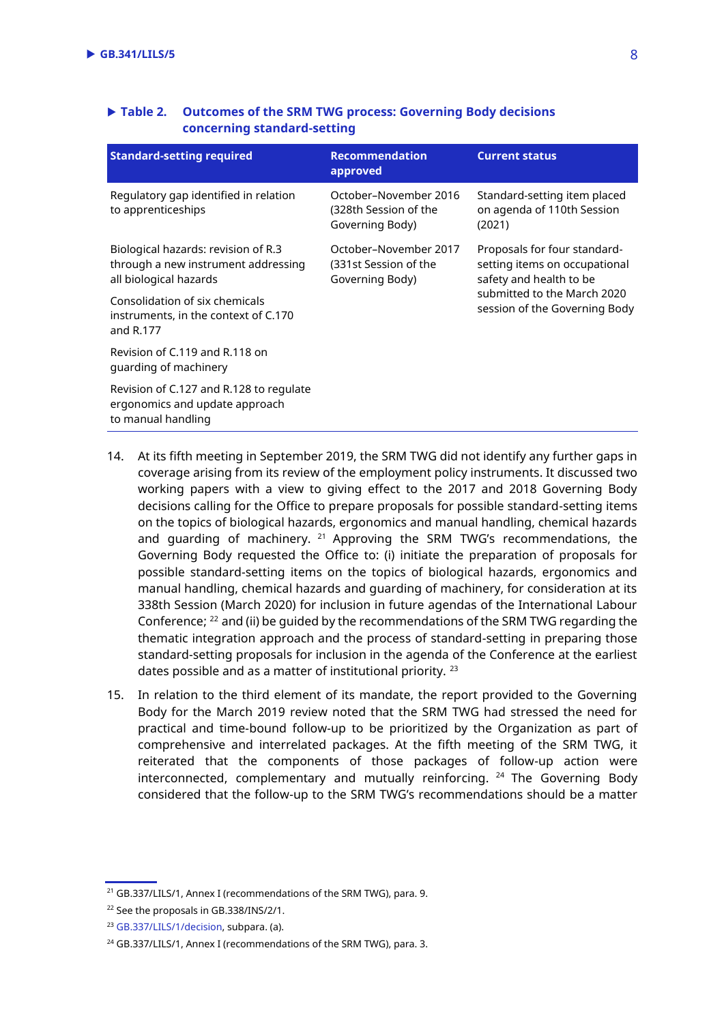| <b>Standard-setting required</b>                                                                     | <b>Recommendation</b><br>approved                                 | <b>Current status</b>                                                                                                                                    |
|------------------------------------------------------------------------------------------------------|-------------------------------------------------------------------|----------------------------------------------------------------------------------------------------------------------------------------------------------|
| Regulatory gap identified in relation<br>to apprenticeships                                          | October-November 2016<br>(328th Session of the<br>Governing Body) | Standard-setting item placed<br>on agenda of 110th Session<br>(2021)                                                                                     |
| Biological hazards: revision of R.3<br>through a new instrument addressing<br>all biological hazards | October-November 2017<br>(331st Session of the<br>Governing Body) | Proposals for four standard-<br>setting items on occupational<br>safety and health to be<br>submitted to the March 2020<br>session of the Governing Body |
| Consolidation of six chemicals<br>instruments, in the context of C.170<br>and R.177                  |                                                                   |                                                                                                                                                          |
| Revision of C.119 and R.118 on<br>quarding of machinery                                              |                                                                   |                                                                                                                                                          |
| Revision of C.127 and R.128 to regulate<br>ergonomics and update approach<br>to manual handling      |                                                                   |                                                                                                                                                          |

#### **Table 2. Outcomes of the SRM TWG process: Governing Body decisions concerning standard-setting**

- 14. At its fifth meeting in September 2019, the SRM TWG did not identify any further gaps in coverage arising from its review of the employment policy instruments. It discussed two working papers with a view to giving effect to the 2017 and 2018 Governing Body decisions calling for the Office to prepare proposals for possible standard-setting items on the topics of biological hazards, ergonomics and manual handling, chemical hazards and quarding of machinery. <sup>21</sup> Approving the SRM TWG's recommendations, the Governing Body requested the Office to: (i) initiate the preparation of proposals for possible standard-setting items on the topics of biological hazards, ergonomics and manual handling, chemical hazards and guarding of machinery, for consideration at its 338th Session (March 2020) for inclusion in future agendas of the International Labour Conference; <sup>22</sup> and (ii) be guided by the recommendations of the SRM TWG regarding the thematic integration approach and the process of standard-setting in preparing those standard-setting proposals for inclusion in the agenda of the Conference at the earliest dates possible and as a matter of institutional priority.  $^{23}$
- 15. In relation to the third element of its mandate, the report provided to the Governing Body for the March 2019 review noted that the SRM TWG had stressed the need for practical and time-bound follow-up to be prioritized by the Organization as part of comprehensive and interrelated packages. At the fifth meeting of the SRM TWG, it reiterated that the components of those packages of follow-up action were interconnected, complementary and mutually reinforcing. <sup>24</sup> The Governing Body considered that the follow-up to the SRM TWG's recommendations should be a matter

<sup>&</sup>lt;sup>21</sup> GB.337/LILS/1, Annex I (recommendations of the SRM TWG), para. 9.

<sup>22</sup> See the proposals in GB.338/INS/2/1.

<sup>23</sup> [GB.337/LILS/1/decision,](https://www.ilo.org/gb/GBSessions/GB337/lils/WCMS_726185/lang--en/index.htm) subpara. (a).

<sup>&</sup>lt;sup>24</sup> GB.337/LILS/1, Annex I (recommendations of the SRM TWG), para. 3.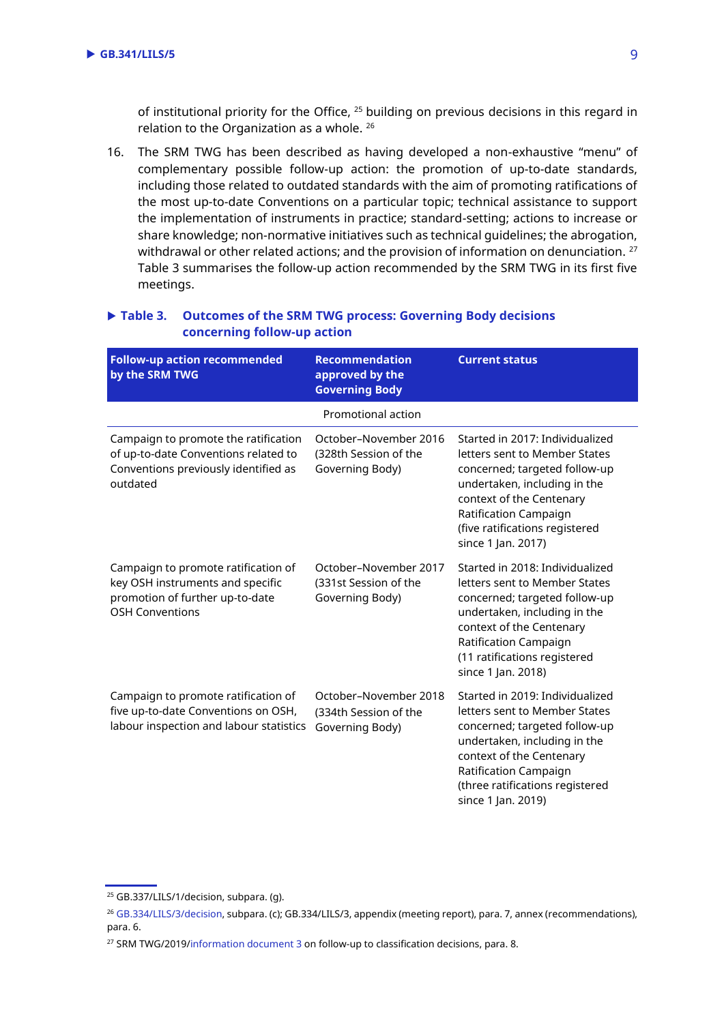of institutional priority for the Office, <sup>25</sup> building on previous decisions in this regard in relation to the Organization as a whole. <sup>26</sup>

16. The SRM TWG has been described as having developed a non-exhaustive "menu" of complementary possible follow-up action: the promotion of up-to-date standards, including those related to outdated standards with the aim of promoting ratifications of the most up-to-date Conventions on a particular topic; technical assistance to support the implementation of instruments in practice; standard-setting; actions to increase or share knowledge; non-normative initiatives such as technical guidelines; the abrogation, withdrawal or other related actions; and the provision of information on denunciation. <sup>27</sup> Table 3 summarises the follow-up action recommended by the SRM TWG in its first five meetings.

#### **Table 3. Outcomes of the SRM TWG process: Governing Body decisions concerning follow-up action**

| <b>Follow-up action recommended</b><br>by the SRM TWG                                                                            | <b>Recommendation</b><br>approved by the<br><b>Governing Body</b> | <b>Current status</b>                                                                                                                                                                                                                           |
|----------------------------------------------------------------------------------------------------------------------------------|-------------------------------------------------------------------|-------------------------------------------------------------------------------------------------------------------------------------------------------------------------------------------------------------------------------------------------|
|                                                                                                                                  | Promotional action                                                |                                                                                                                                                                                                                                                 |
| Campaign to promote the ratification<br>of up-to-date Conventions related to<br>Conventions previously identified as<br>outdated | October-November 2016<br>(328th Session of the<br>Governing Body) | Started in 2017: Individualized<br>letters sent to Member States<br>concerned; targeted follow-up<br>undertaken, including in the<br>context of the Centenary<br>Ratification Campaign<br>(five ratifications registered<br>since 1 Jan. 2017)  |
| Campaign to promote ratification of<br>key OSH instruments and specific<br>promotion of further up-to-date<br>OSH Conventions    | October-November 2017<br>(331st Session of the<br>Governing Body) | Started in 2018: Individualized<br>letters sent to Member States<br>concerned; targeted follow-up<br>undertaken, including in the<br>context of the Centenary<br>Ratification Campaign<br>(11 ratifications registered<br>since 1 Jan. 2018)    |
| Campaign to promote ratification of<br>five up-to-date Conventions on OSH,<br>labour inspection and labour statistics            | October-November 2018<br>(334th Session of the<br>Governing Body) | Started in 2019: Individualized<br>letters sent to Member States<br>concerned; targeted follow-up<br>undertaken, including in the<br>context of the Centenary<br>Ratification Campaign<br>(three ratifications registered<br>since 1 Jan. 2019) |

<sup>&</sup>lt;sup>25</sup> GB.337/LILS/1/decision, subpara. (g).

<sup>&</sup>lt;sup>26</sup> [GB.334/LILS/3/decision,](https://www.ilo.org/gb/GBSessions/GB334/lils/WCMS_648973/lang--en/index.htm) subpara. (c); GB.334/LILS/3, appendix (meeting report), para. 7, annex (recommendations), para. 6.

<sup>&</sup>lt;sup>27</sup> SRM TWG/2019[/information document 3](https://www.ilo.org/wcmsp5/groups/public/---ed_norm/---normes/documents/genericdocument/wcms_715390.pdf) on follow-up to classification decisions, para. 8.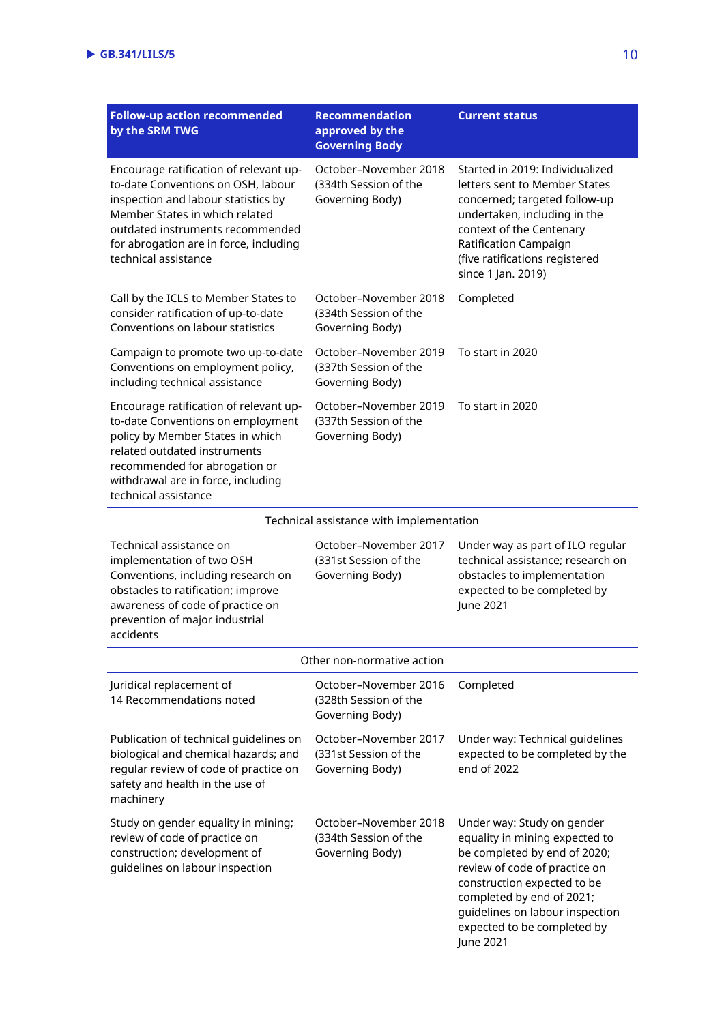| <b>Follow-up action recommended</b><br>by the SRM TWG                                                                                                                                                                                                       | Recommendation<br>approved by the<br><b>Governing Body</b>        | <b>Current status</b>                                                                                                                                                                                                                                                    |
|-------------------------------------------------------------------------------------------------------------------------------------------------------------------------------------------------------------------------------------------------------------|-------------------------------------------------------------------|--------------------------------------------------------------------------------------------------------------------------------------------------------------------------------------------------------------------------------------------------------------------------|
| Encourage ratification of relevant up-<br>to-date Conventions on OSH, labour<br>inspection and labour statistics by<br>Member States in which related<br>outdated instruments recommended<br>for abrogation are in force, including<br>technical assistance | October-November 2018<br>(334th Session of the<br>Governing Body) | Started in 2019: Individualized<br>letters sent to Member States<br>concerned; targeted follow-up<br>undertaken, including in the<br>context of the Centenary<br>Ratification Campaign<br>(five ratifications registered<br>since 1 Jan. 2019)                           |
| Call by the ICLS to Member States to<br>consider ratification of up-to-date<br>Conventions on labour statistics                                                                                                                                             | October-November 2018<br>(334th Session of the<br>Governing Body) | Completed                                                                                                                                                                                                                                                                |
| Campaign to promote two up-to-date<br>Conventions on employment policy,<br>including technical assistance                                                                                                                                                   | October-November 2019<br>(337th Session of the<br>Governing Body) | To start in 2020                                                                                                                                                                                                                                                         |
| Encourage ratification of relevant up-<br>to-date Conventions on employment<br>policy by Member States in which<br>related outdated instruments<br>recommended for abrogation or<br>withdrawal are in force, including<br>technical assistance              | October-November 2019<br>(337th Session of the<br>Governing Body) | To start in 2020                                                                                                                                                                                                                                                         |
|                                                                                                                                                                                                                                                             | Technical assistance with implementation                          |                                                                                                                                                                                                                                                                          |
| Technical assistance on<br>implementation of two OSH<br>Conventions, including research on<br>obstacles to ratification; improve<br>awareness of code of practice on<br>prevention of major industrial<br>accidents                                         | October-November 2017<br>(331st Session of the<br>Governing Body) | Under way as part of ILO regular<br>technical assistance; research on<br>obstacles to implementation<br>expected to be completed by<br>June 2021                                                                                                                         |
| Other non-normative action                                                                                                                                                                                                                                  |                                                                   |                                                                                                                                                                                                                                                                          |
| Juridical replacement of<br>14 Recommendations noted                                                                                                                                                                                                        | October-November 2016<br>(328th Session of the<br>Governing Body) | Completed                                                                                                                                                                                                                                                                |
| Publication of technical guidelines on<br>biological and chemical hazards; and<br>regular review of code of practice on<br>safety and health in the use of<br>machinery                                                                                     | October-November 2017<br>(331st Session of the<br>Governing Body) | Under way: Technical guidelines<br>expected to be completed by the<br>end of 2022                                                                                                                                                                                        |
| Study on gender equality in mining;<br>review of code of practice on<br>construction; development of<br>guidelines on labour inspection                                                                                                                     | October-November 2018<br>(334th Session of the<br>Governing Body) | Under way: Study on gender<br>equality in mining expected to<br>be completed by end of 2020;<br>review of code of practice on<br>construction expected to be<br>completed by end of 2021;<br>guidelines on labour inspection<br>expected to be completed by<br>June 2021 |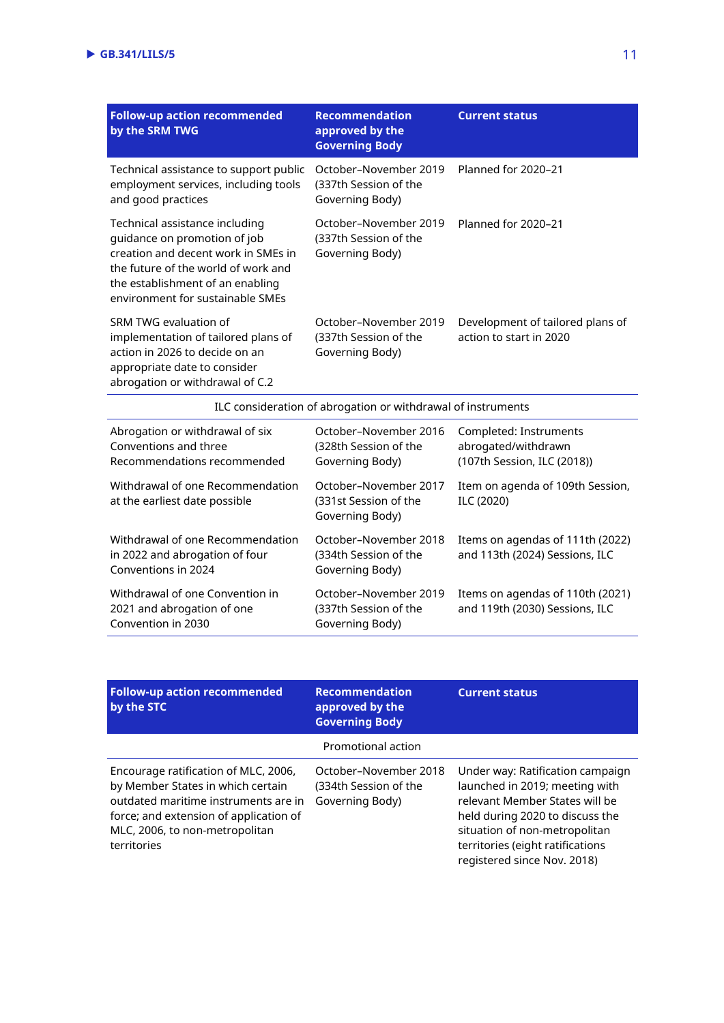| <b>Follow-up action recommended</b><br>by the SRM TWG                                                                                                                                                                | <b>Recommendation</b><br>approved by the<br><b>Governing Body</b> | <b>Current status</b>                                       |
|----------------------------------------------------------------------------------------------------------------------------------------------------------------------------------------------------------------------|-------------------------------------------------------------------|-------------------------------------------------------------|
| Technical assistance to support public<br>employment services, including tools<br>and good practices                                                                                                                 | October-November 2019<br>(337th Session of the<br>Governing Body) | Planned for 2020-21                                         |
| Technical assistance including<br>quidance on promotion of job<br>creation and decent work in SMEs in<br>the future of the world of work and<br>the establishment of an enabling<br>environment for sustainable SMEs | October–November 2019<br>(337th Session of the<br>Governing Body) | Planned for 2020–21                                         |
| SRM TWG evaluation of<br>implementation of tailored plans of<br>action in 2026 to decide on an<br>appropriate date to consider<br>abrogation or withdrawal of C.2                                                    | October-November 2019<br>(337th Session of the<br>Governing Body) | Development of tailored plans of<br>action to start in 2020 |
| ILC consideration of abrogation or withdrawal of instruments                                                                                                                                                         |                                                                   |                                                             |

| Abrogation or withdrawal of six<br>Conventions and three<br>Recommendations recommended   | October-November 2016<br>(328th Session of the<br>Governing Body) | Completed: Instruments<br>abrogated/withdrawn<br>(107th Session, ILC (2018)) |
|-------------------------------------------------------------------------------------------|-------------------------------------------------------------------|------------------------------------------------------------------------------|
| Withdrawal of one Recommendation<br>at the earliest date possible                         | October-November 2017<br>(331st Session of the<br>Governing Body) | Item on agenda of 109th Session,<br>ILC (2020)                               |
| Withdrawal of one Recommendation<br>in 2022 and abrogation of four<br>Conventions in 2024 | October-November 2018<br>(334th Session of the<br>Governing Body) | Items on agendas of 111th (2022)<br>and 113th (2024) Sessions, ILC           |
| Withdrawal of one Convention in<br>2021 and abrogation of one<br>Convention in 2030       | October-November 2019<br>(337th Session of the<br>Governing Body) | Items on agendas of 110th (2021)<br>and 119th (2030) Sessions, ILC           |

| <b>Follow-up action recommended</b><br>by the STC                                                                                                                                                            | <b>Recommendation</b><br>approved by the<br><b>Governing Body</b> | <b>Current status</b>                                                                                                                                                                                                                       |
|--------------------------------------------------------------------------------------------------------------------------------------------------------------------------------------------------------------|-------------------------------------------------------------------|---------------------------------------------------------------------------------------------------------------------------------------------------------------------------------------------------------------------------------------------|
|                                                                                                                                                                                                              | Promotional action                                                |                                                                                                                                                                                                                                             |
| Encourage ratification of MLC, 2006,<br>by Member States in which certain<br>outdated maritime instruments are in<br>force; and extension of application of<br>MLC, 2006, to non-metropolitan<br>territories | October-November 2018<br>(334th Session of the<br>Governing Body) | Under way: Ratification campaign<br>launched in 2019; meeting with<br>relevant Member States will be<br>held during 2020 to discuss the<br>situation of non-metropolitan<br>territories (eight ratifications<br>registered since Nov. 2018) |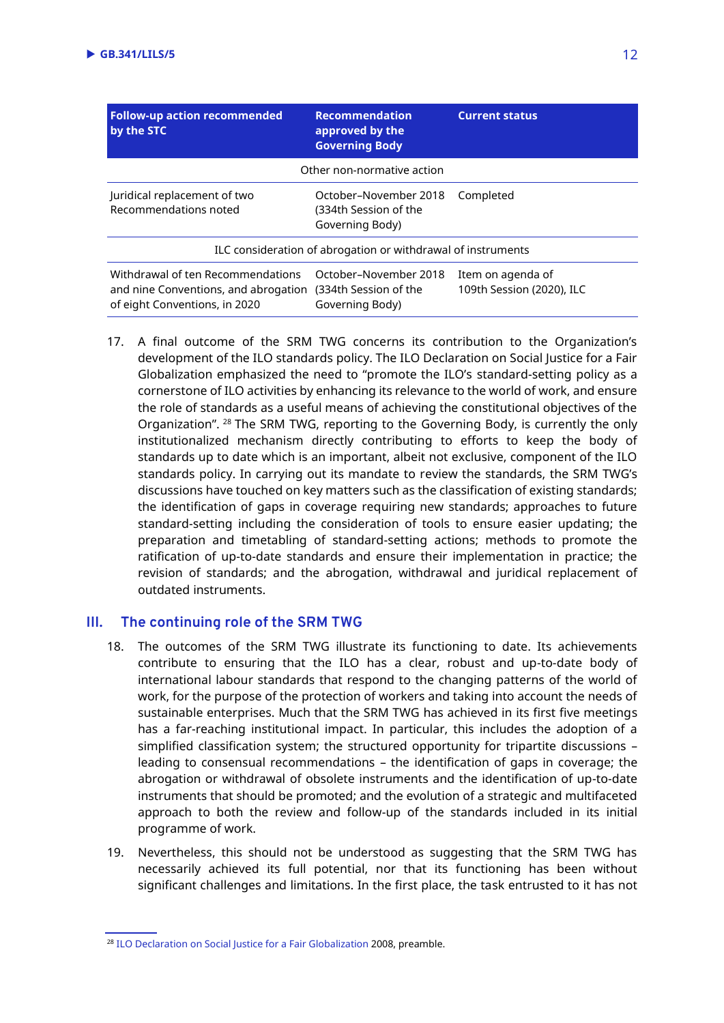| <b>Follow-up action recommended</b><br>by the STC                                                          | <b>Recommendation</b><br>approved by the<br><b>Governing Body</b> | <b>Current status</b>                          |  |
|------------------------------------------------------------------------------------------------------------|-------------------------------------------------------------------|------------------------------------------------|--|
| Other non-normative action                                                                                 |                                                                   |                                                |  |
| Juridical replacement of two<br>Recommendations noted                                                      | October-November 2018<br>(334th Session of the<br>Governing Body) | Completed                                      |  |
| ILC consideration of abrogation or withdrawal of instruments                                               |                                                                   |                                                |  |
| Withdrawal of ten Recommendations<br>and nine Conventions, and abrogation<br>of eight Conventions, in 2020 | October-November 2018<br>(334th Session of the<br>Governing Body) | Item on agenda of<br>109th Session (2020), ILC |  |

17. A final outcome of the SRM TWG concerns its contribution to the Organization's development of the ILO standards policy. The ILO Declaration on Social Justice for a Fair Globalization emphasized the need to "promote the ILO's standard-setting policy as a cornerstone of ILO activities by enhancing its relevance to the world of work, and ensure the role of standards as a useful means of achieving the constitutional objectives of the Organization". <sup>28</sup> The SRM TWG, reporting to the Governing Body, is currently the only institutionalized mechanism directly contributing to efforts to keep the body of standards up to date which is an important, albeit not exclusive, component of the ILO standards policy. In carrying out its mandate to review the standards, the SRM TWG's discussions have touched on key matters such as the classification of existing standards; the identification of gaps in coverage requiring new standards; approaches to future standard-setting including the consideration of tools to ensure easier updating; the preparation and timetabling of standard-setting actions; methods to promote the ratification of up-to-date standards and ensure their implementation in practice; the revision of standards; and the abrogation, withdrawal and juridical replacement of outdated instruments.

#### **III. The continuing role of the SRM TWG**

- 18. The outcomes of the SRM TWG illustrate its functioning to date. Its achievements contribute to ensuring that the ILO has a clear, robust and up-to-date body of international labour standards that respond to the changing patterns of the world of work, for the purpose of the protection of workers and taking into account the needs of sustainable enterprises. Much that the SRM TWG has achieved in its first five meetings has a far-reaching institutional impact. In particular, this includes the adoption of a simplified classification system; the structured opportunity for tripartite discussions – leading to consensual recommendations – the identification of gaps in coverage; the abrogation or withdrawal of obsolete instruments and the identification of up-to-date instruments that should be promoted; and the evolution of a strategic and multifaceted approach to both the review and follow-up of the standards included in its initial programme of work.
- 19. Nevertheless, this should not be understood as suggesting that the SRM TWG has necessarily achieved its full potential, nor that its functioning has been without significant challenges and limitations. In the first place, the task entrusted to it has not

<sup>&</sup>lt;sup>28</sup> [ILO Declaration on Social Justice for a Fair Globalization](https://www.ilo.org/wcmsp5/groups/public/---dgreports/---cabinet/documents/genericdocument/wcms_371208.pdf) 2008, preamble.